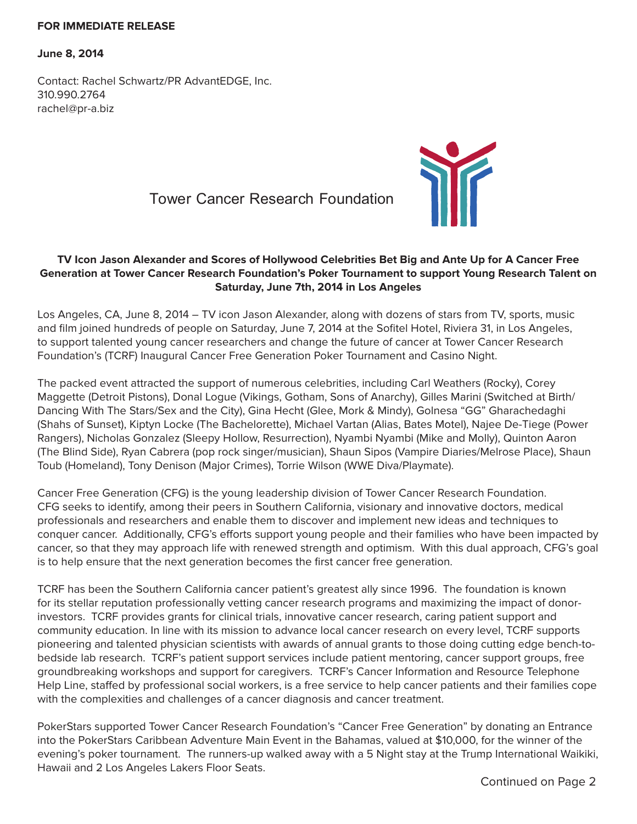## **FOR IMMEDIATE RELEASE**

**June 8, 2014**

Contact: Rachel Schwartz/PR AdvantEDGE, Inc. 310.990.2764 rachel@pr-a.biz





## **TV Icon Jason Alexander and Scores of Hollywood Celebrities Bet Big and Ante Up for A Cancer Free Generation at Tower Cancer Research Foundation's Poker Tournament to support Young Research Talent on Saturday, June 7th, 2014 in Los Angeles**

Los Angeles, CA, June 8, 2014 – TV icon Jason Alexander, along with dozens of stars from TV, sports, music and film joined hundreds of people on Saturday, June 7, 2014 at the Sofitel Hotel, Riviera 31, in Los Angeles, to support talented young cancer researchers and change the future of cancer at Tower Cancer Research Foundation's (TCRF) Inaugural Cancer Free Generation Poker Tournament and Casino Night.

The packed event attracted the support of numerous celebrities, including Carl Weathers (Rocky), Corey Maggette (Detroit Pistons), Donal Logue (Vikings, Gotham, Sons of Anarchy), Gilles Marini (Switched at Birth/ Dancing With The Stars/Sex and the City), Gina Hecht (Glee, Mork & Mindy), Golnesa "GG" Gharachedaghi (Shahs of Sunset), Kiptyn Locke (The Bachelorette), Michael Vartan (Alias, Bates Motel), Najee De-Tiege (Power Rangers), Nicholas Gonzalez (Sleepy Hollow, Resurrection), Nyambi Nyambi (Mike and Molly), Quinton Aaron (The Blind Side), Ryan Cabrera (pop rock singer/musician), Shaun Sipos (Vampire Diaries/Melrose Place), Shaun Toub (Homeland), Tony Denison (Major Crimes), Torrie Wilson (WWE Diva/Playmate).

Cancer Free Generation (CFG) is the young leadership division of Tower Cancer Research Foundation. CFG seeks to identify, among their peers in Southern California, visionary and innovative doctors, medical professionals and researchers and enable them to discover and implement new ideas and techniques to conquer cancer. Additionally, CFG's efforts support young people and their families who have been impacted by cancer, so that they may approach life with renewed strength and optimism. With this dual approach, CFG's goal is to help ensure that the next generation becomes the first cancer free generation.

TCRF has been the Southern California cancer patient's greatest ally since 1996. The foundation is known for its stellar reputation professionally vetting cancer research programs and maximizing the impact of donorinvestors. TCRF provides grants for clinical trials, innovative cancer research, caring patient support and community education. In line with its mission to advance local cancer research on every level, TCRF supports pioneering and talented physician scientists with awards of annual grants to those doing cutting edge bench-tobedside lab research. TCRF's patient support services include patient mentoring, cancer support groups, free groundbreaking workshops and support for caregivers. TCRF's Cancer Information and Resource Telephone Help Line, staffed by professional social workers, is a free service to help cancer patients and their families cope with the complexities and challenges of a cancer diagnosis and cancer treatment.

PokerStars supported Tower Cancer Research Foundation's "Cancer Free Generation" by donating an Entrance into the PokerStars Caribbean Adventure Main Event in the Bahamas, valued at \$10,000, for the winner of the evening's poker tournament. The runners-up walked away with a 5 Night stay at the Trump International Waikiki, Hawaii and 2 Los Angeles Lakers Floor Seats.